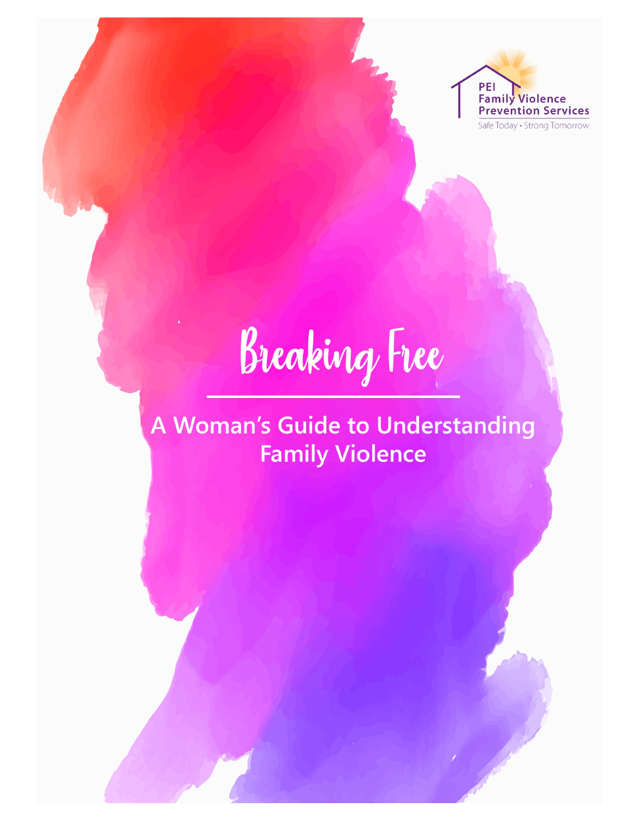

Breaking Free

# A Woman's Guide to Understanding **Family Violence**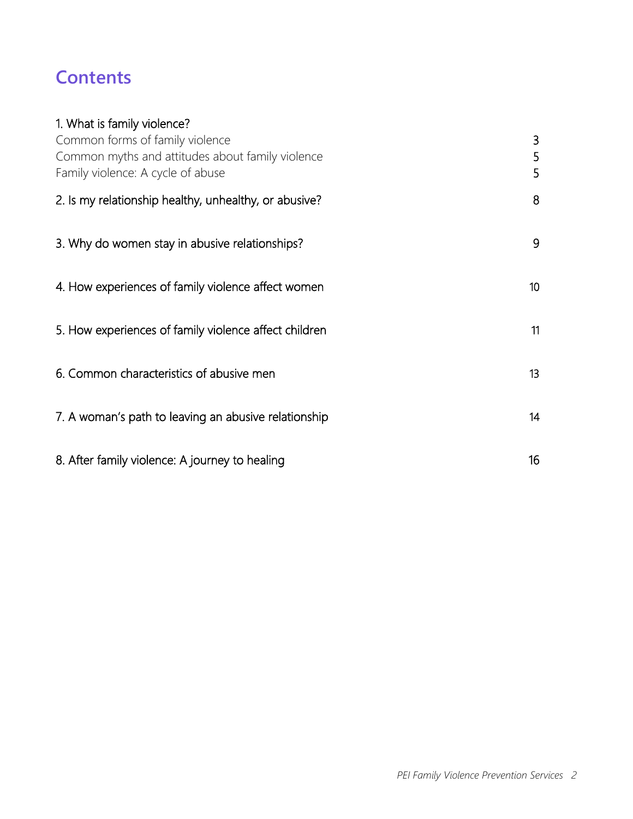# **Contents**

| 1. What is family violence?                           |                 |
|-------------------------------------------------------|-----------------|
| Common forms of family violence                       | 3               |
| Common myths and attitudes about family violence      | 5               |
| Family violence: A cycle of abuse                     | 5               |
| 2. Is my relationship healthy, unhealthy, or abusive? | 8               |
| 3. Why do women stay in abusive relationships?        | 9               |
| 4. How experiences of family violence affect women    | 10 <sup>°</sup> |
| 5. How experiences of family violence affect children | 11              |
| 6. Common characteristics of abusive men              | 13              |
| 7. A woman's path to leaving an abusive relationship  | 14              |
| 8. After family violence: A journey to healing        | 16              |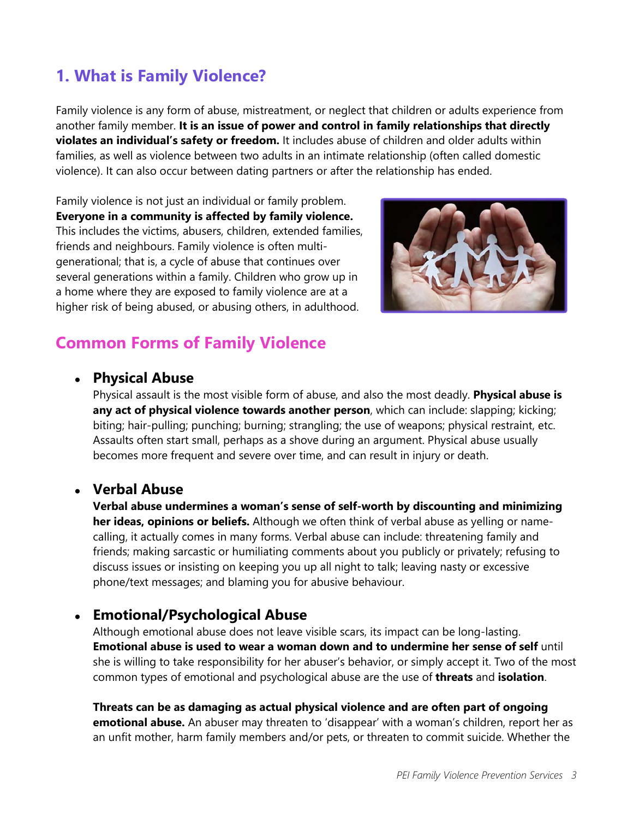# **1. What is Family Violence?**

Family violence is any form of abuse, mistreatment, or neglect that children or adults experience from another family member. **It is an issue of power and control in family relationships that directly violates an individual's safety or freedom.** It includes abuse of children and older adults within families, as well as violence between two adults in an intimate relationship (often called domestic violence). It can also occur between dating partners or after the relationship has ended.

Family violence is not just an individual or family problem. **Everyone in a community is affected by family violence.**  This includes the victims, abusers, children, extended families, friends and neighbours. Family violence is often multigenerational; that is, a cycle of abuse that continues over several generations within a family. Children who grow up in a home where they are exposed to family violence are at a higher risk of being abused, or abusing others, in adulthood.



# <span id="page-2-0"></span>**Common Forms of Family Violence**

#### ● **Physical Abuse**

Physical assault is the most visible form of abuse, and also the most deadly. **Physical abuse is any act of physical violence towards another person**, which can include: slapping; kicking; biting; hair-pulling; punching; burning; strangling; the use of weapons; physical restraint, etc. Assaults often start small, perhaps as a shove during an argument. Physical abuse usually becomes more frequent and severe over time, and can result in injury or death.

### ● **Verbal Abuse**

**Verbal abuse undermines a woman's sense of self-worth by discounting and minimizing her ideas, opinions or beliefs.** Although we often think of verbal abuse as yelling or namecalling, it actually comes in many forms. Verbal abuse can include: threatening family and friends; making sarcastic or humiliating comments about you publicly or privately; refusing to discuss issues or insisting on keeping you up all night to talk; leaving nasty or excessive phone/text messages; and blaming you for abusive behaviour.

### ● **Emotional/Psychological Abuse**

Although emotional abuse does not leave visible scars, its impact can be long-lasting. **Emotional abuse is used to wear a woman down and to undermine her sense of self** until she is willing to take responsibility for her abuser's behavior, or simply accept it. Two of the most common types of emotional and psychological abuse are the use of **threats** and **isolation**.

**Threats can be as damaging as actual physical violence and are often part of ongoing emotional abuse.** An abuser may threaten to 'disappear' with a woman's children, report her as an unfit mother, harm family members and/or pets, or threaten to commit suicide. Whether the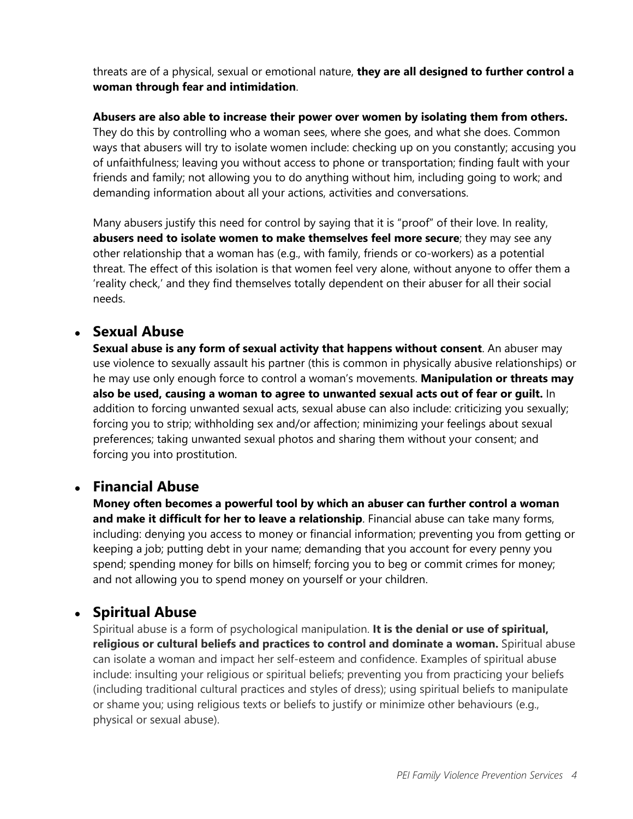threats are of a physical, sexual or emotional nature, **they are all designed to further control a woman through fear and intimidation**.

**Abusers are also able to increase their power over women by isolating them from others.** They do this by controlling who a woman sees, where she goes, and what she does. Common ways that abusers will try to isolate women include: checking up on you constantly; accusing you of unfaithfulness; leaving you without access to phone or transportation; finding fault with your friends and family; not allowing you to do anything without him, including going to work; and demanding information about all your actions, activities and conversations.

Many abusers justify this need for control by saying that it is "proof" of their love. In reality, **abusers need to isolate women to make themselves feel more secure**; they may see any other relationship that a woman has (e.g., with family, friends or co-workers) as a potential threat. The effect of this isolation is that women feel very alone, without anyone to offer them a 'reality check,' and they find themselves totally dependent on their abuser for all their social needs.

## ● **Sexual Abuse**

**Sexual abuse is any form of sexual activity that happens without consent**. An abuser may use violence to sexually assault his partner (this is common in physically abusive relationships) or he may use only enough force to control a woman's movements. **Manipulation or threats may also be used, causing a woman to agree to unwanted sexual acts out of fear or guilt.** In addition to forcing unwanted sexual acts, sexual abuse can also include: criticizing you sexually; forcing you to strip; withholding sex and/or affection; minimizing your feelings about sexual preferences; taking unwanted sexual photos and sharing them without your consent; and forcing you into prostitution.

### ● **Financial Abuse**

**Money often becomes a powerful tool by which an abuser can further control a woman and make it difficult for her to leave a relationship**. Financial abuse can take many forms, including: denying you access to money or financial information; preventing you from getting or keeping a job; putting debt in your name; demanding that you account for every penny you spend; spending money for bills on himself; forcing you to beg or commit crimes for money; and not allowing you to spend money on yourself or your children.

# ● **Spiritual Abuse**

Spiritual abuse is a form of psychological manipulation. **It is the denial or use of spiritual, religious or cultural beliefs and practices to control and dominate a woman.** Spiritual abuse can isolate a woman and impact her self-esteem and confidence. Examples of spiritual abuse include: insulting your religious or spiritual beliefs; preventing you from practicing your beliefs (including traditional cultural practices and styles of dress); using spiritual beliefs to manipulate or shame you; using religious texts or beliefs to justify or minimize other behaviours (e.g., physical or sexual abuse).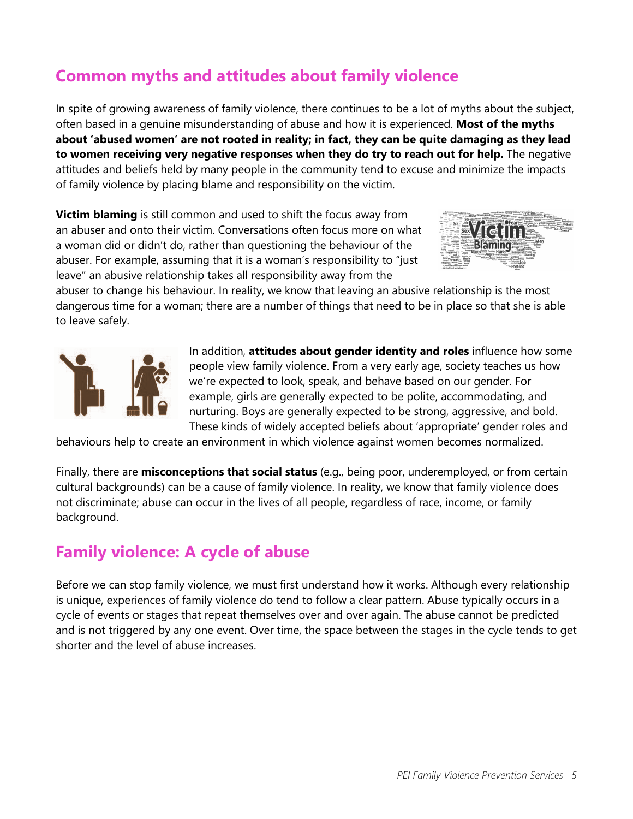# **Common myths and attitudes about family violence**

In spite of growing awareness of family violence, there continues to be a lot of myths about the subject, often based in a genuine misunderstanding of abuse and how it is experienced. **Most of the myths about 'abused women' are not rooted in reality; in fact, they can be quite damaging as they lead to women receiving very negative responses when they do try to reach out for help.** The negative attitudes and beliefs held by many people in the community tend to excuse and minimize the impacts of family violence by placing blame and responsibility on the victim.

**Victim blaming** is still common and used to shift the focus away from an abuser and onto their victim. Conversations often focus more on what a woman did or didn't do, rather than questioning the behaviour of the abuser. For example, assuming that it is a woman's responsibility to "just leave" an abusive relationship takes all responsibility away from the



abuser to change his behaviour. In reality, we know that leaving an abusive relationship is the most dangerous time for a woman; there are a number of things that need to be in place so that she is able to leave safely.



In addition, **attitudes about gender identity and roles** influence how some people view family violence. From a very early age, society teaches us how we're expected to look, speak, and behave based on our gender. For example, girls are generally expected to be polite, accommodating, and nurturing. Boys are generally expected to be strong, aggressive, and bold. These kinds of widely accepted beliefs about 'appropriate' gender roles and

behaviours help to create an environment in which violence against women becomes normalized.

Finally, there are **misconceptions that social status** (e.g., being poor, underemployed, or from certain cultural backgrounds) can be a cause of family violence. In reality, we know that family violence does not discriminate; abuse can occur in the lives of all people, regardless of race, income, or family background.

# **Family violence: A cycle of abuse**

Before we can stop family violence, we must first understand how it works. Although every relationship is unique, experiences of family violence do tend to follow a clear pattern. Abuse typically occurs in a cycle of events or stages that repeat themselves over and over again. The abuse cannot be predicted and is not triggered by any one event. Over time, the space between the stages in the cycle tends to get shorter and the level of abuse increases.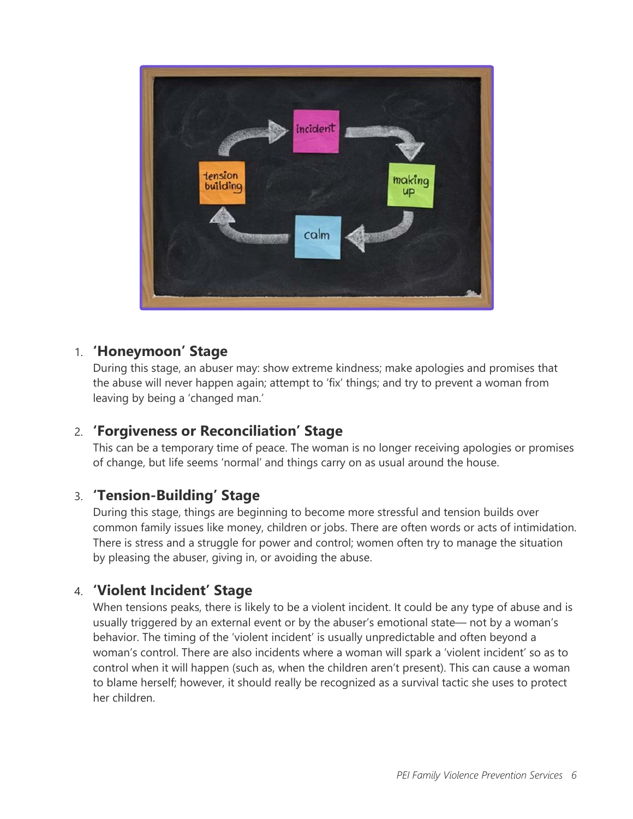

#### 1. **'Honeymoon' Stage**

During this stage, an abuser may: show extreme kindness; make apologies and promises that the abuse will never happen again; attempt to 'fix' things; and try to prevent a woman from leaving by being a 'changed man.'

### 2. **'Forgiveness or Reconciliation' Stage**

This can be a temporary time of peace. The woman is no longer receiving apologies or promises of change, but life seems 'normal' and things carry on as usual around the house.

### 3. **'Tension-Building' Stage**

During this stage, things are beginning to become more stressful and tension builds over common family issues like money, children or jobs. There are often words or acts of intimidation. There is stress and a struggle for power and control; women often try to manage the situation by pleasing the abuser, giving in, or avoiding the abuse.

### 4. **'Violent Incident' Stage**

When tensions peaks, there is likely to be a violent incident. It could be any type of abuse and is usually triggered by an external event or by the abuser's emotional state— not by a woman's behavior. The timing of the 'violent incident' is usually unpredictable and often beyond a woman's control. There are also incidents where a woman will spark a 'violent incident' so as to control when it will happen (such as, when the children aren't present). This can cause a woman to blame herself; however, it should really be recognized as a survival tactic she uses to protect her children.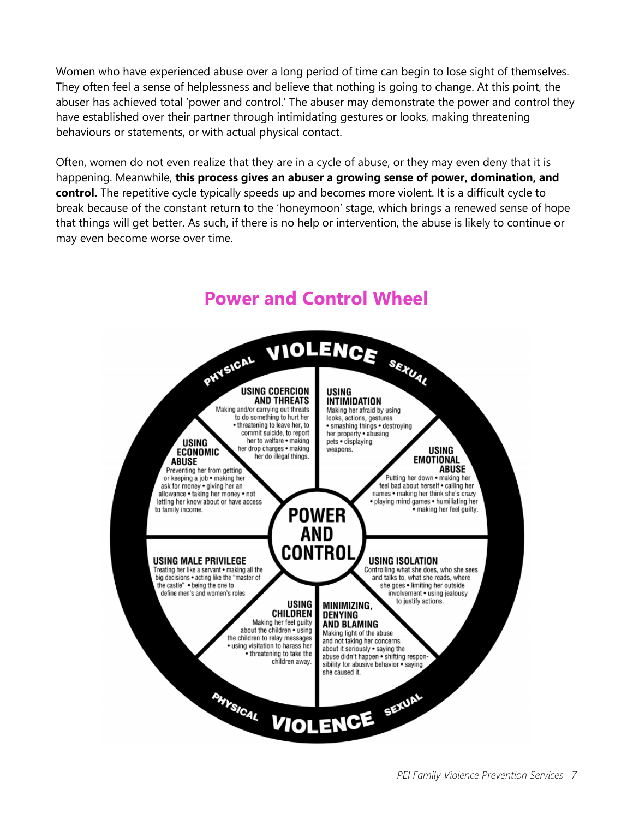Women who have experienced abuse over a long period of time can begin to lose sight of themselves. They often feel a sense of helplessness and believe that nothing is going to change. At this point, the abuser has achieved total 'power and control.' The abuser may demonstrate the power and control they have established over their partner through intimidating gestures or looks, making threatening behaviours or statements, or with actual physical contact.

Often, women do not even realize that they are in a cycle of abuse, or they may even deny that it is happening. Meanwhile, **this process gives an abuser a growing sense of power, domination, and control.** The repetitive cycle typically speeds up and becomes more violent. It is a difficult cycle to break because of the constant return to the 'honeymoon' stage, which brings a renewed sense of hope that things will get better. As such, if there is no help or intervention, the abuse is likely to continue or may even become worse over time.



# **Power and Control Wheel**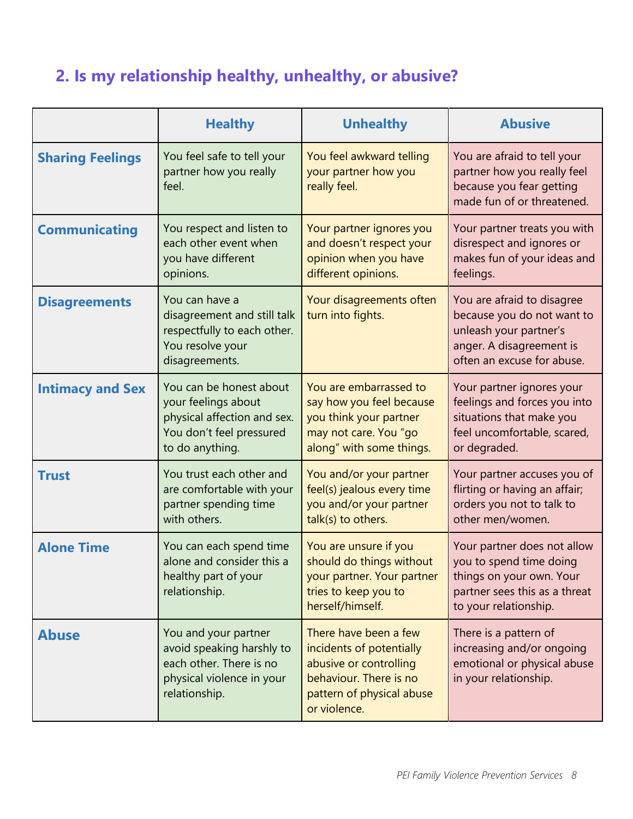# <span id="page-7-0"></span>**2. Is my relationship healthy, unhealthy, or abusive?**

|                         | <b>Healthy</b>                                                                                                               | <b>Unhealthy</b>                                                                                                                                   | <b>Abusive</b>                                                                                                                               |
|-------------------------|------------------------------------------------------------------------------------------------------------------------------|----------------------------------------------------------------------------------------------------------------------------------------------------|----------------------------------------------------------------------------------------------------------------------------------------------|
| <b>Sharing Feelings</b> | You feel safe to tell your<br>partner how you really<br>feel.                                                                | You feel awkward telling<br>your partner how you<br>really feel.                                                                                   | You are afraid to tell your<br>partner how you really feel<br>because you fear getting<br>made fun of or threatened.                         |
| <b>Communicating</b>    | You respect and listen to<br>each other event when<br>you have different<br>opinions.                                        | Your partner ignores you<br>and doesn't respect your<br>opinion when you have<br>different opinions.                                               | Your partner treats you with<br>disrespect and ignores or<br>makes fun of your ideas and<br>feelings.                                        |
| <b>Disagreements</b>    | You can have a<br>disagreement and still talk<br>respectfully to each other.<br>You resolve your<br>disagreements.           | Your disagreements often<br>turn into fights.                                                                                                      | You are afraid to disagree<br>because you do not want to<br>unleash your partner's<br>anger. A disagreement is<br>often an excuse for abuse. |
| <b>Intimacy and Sex</b> | You can be honest about<br>your feelings about<br>physical affection and sex.<br>You don't feel pressured<br>to do anything. | You are embarrassed to<br>say how you feel because<br>you think your partner<br>may not care. You "go<br>along" with some things.                  | Your partner ignores your<br>feelings and forces you into<br>situations that make you<br>feel uncomfortable, scared,<br>or degraded.         |
| <b>Trust</b>            | You trust each other and<br>are comfortable with your<br>partner spending time<br>with others.                               | You and/or your partner<br>feel(s) jealous every time<br>you and/or your partner<br>talk(s) to others.                                             | Your partner accuses you of<br>flirting or having an affair;<br>orders you not to talk to<br>other men/women.                                |
| <b>Alone Time</b>       | You can each spend time<br>alone and consider this a<br>healthy part of your<br>relationship.                                | You are unsure if you<br>should do things without<br>your partner. Your partner<br>tries to keep you to<br>herself/himself.                        | Your partner does not allow<br>you to spend time doing<br>things on your own. Your<br>partner sees this as a threat<br>to your relationship. |
| <b>Abuse</b>            | You and your partner<br>avoid speaking harshly to<br>each other. There is no<br>physical violence in your<br>relationship.   | There have been a few<br>incidents of potentially<br>abusive or controlling<br>behaviour. There is no<br>pattern of physical abuse<br>or violence. | There is a pattern of<br>increasing and/or ongoing<br>emotional or physical abuse<br>in your relationship.                                   |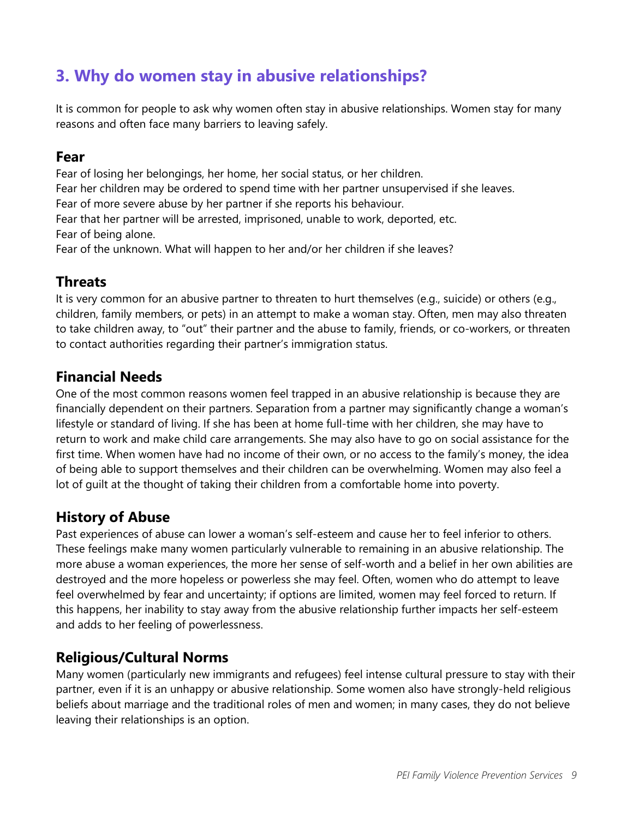# <span id="page-8-0"></span>**3. Why do women stay in abusive relationships?**

It is common for people to ask why women often stay in abusive relationships. Women stay for many reasons and often face many barriers to leaving safely.

#### **Fear**

Fear of losing her belongings, her home, her social status, or her children. Fear her children may be ordered to spend time with her partner unsupervised if she leaves. Fear of more severe abuse by her partner if she reports his behaviour. Fear that her partner will be arrested, imprisoned, unable to work, deported, etc. Fear of being alone. Fear of the unknown. What will happen to her and/or her children if she leaves?

### **Threats**

It is very common for an abusive partner to threaten to hurt themselves (e.g., suicide) or others (e.g., children, family members, or pets) in an attempt to make a woman stay. Often, men may also threaten to take children away, to "out" their partner and the abuse to family, friends, or co-workers, or threaten to contact authorities regarding their partner's immigration status.

### **Financial Needs**

One of the most common reasons women feel trapped in an abusive relationship is because they are financially dependent on their partners. Separation from a partner may significantly change a woman's lifestyle or standard of living. If she has been at home full-time with her children, she may have to return to work and make child care arrangements. She may also have to go on social assistance for the first time. When women have had no income of their own, or no access to the family's money, the idea of being able to support themselves and their children can be overwhelming. Women may also feel a lot of guilt at the thought of taking their children from a comfortable home into poverty.

### **History of Abuse**

Past experiences of abuse can lower a woman's self-esteem and cause her to feel inferior to others. These feelings make many women particularly vulnerable to remaining in an abusive relationship. The more abuse a woman experiences, the more her sense of self-worth and a belief in her own abilities are destroyed and the more hopeless or powerless she may feel. Often, women who do attempt to leave feel overwhelmed by fear and uncertainty; if options are limited, women may feel forced to return. If this happens, her inability to stay away from the abusive relationship further impacts her self-esteem and adds to her feeling of powerlessness.

### **Religious/Cultural Norms**

Many women (particularly new immigrants and refugees) feel intense cultural pressure to stay with their partner, even if it is an unhappy or abusive relationship. Some women also have strongly-held religious beliefs about marriage and the traditional roles of men and women; in many cases, they do not believe leaving their relationships is an option.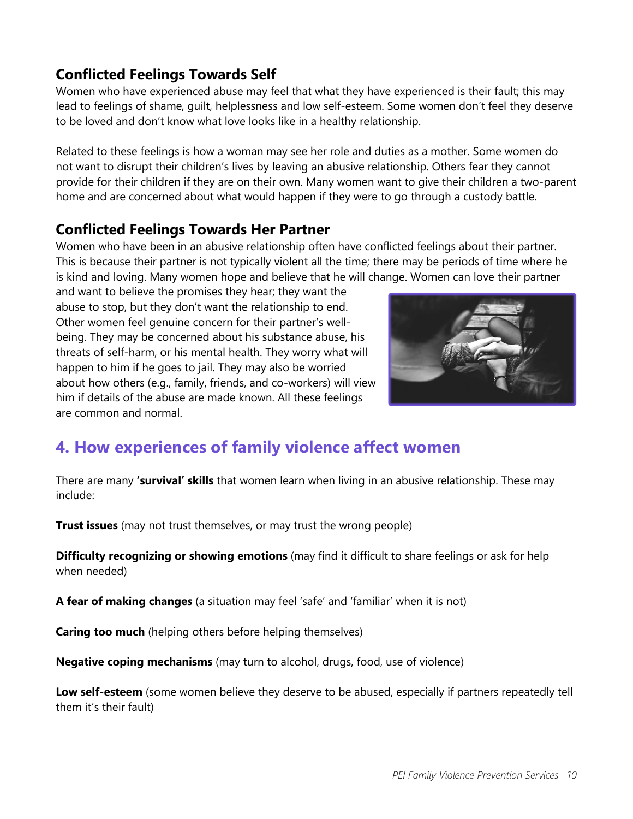## **Conflicted Feelings Towards Self**

Women who have experienced abuse may feel that what they have experienced is their fault; this may lead to feelings of shame, guilt, helplessness and low self-esteem. Some women don't feel they deserve to be loved and don't know what love looks like in a healthy relationship.

Related to these feelings is how a woman may see her role and duties as a mother. Some women do not want to disrupt their children's lives by leaving an abusive relationship. Others fear they cannot provide for their children if they are on their own. Many women want to give their children a two-parent home and are concerned about what would happen if they were to go through a custody battle.

#### **Conflicted Feelings Towards Her Partner**

Women who have been in an abusive relationship often have conflicted feelings about their partner. This is because their partner is not typically violent all the time; there may be periods of time where he is kind and loving. Many women hope and believe that he will change. Women can love their partner

and want to believe the promises they hear; they want the abuse to stop, but they don't want the relationship to end. Other women feel genuine concern for their partner's wellbeing. They may be concerned about his substance abuse, his threats of self-harm, or his mental health. They worry what will happen to him if he goes to jail. They may also be worried about how others (e.g., family, friends, and co-workers) will view him if details of the abuse are made known. All these feelings are common and normal.



# <span id="page-9-0"></span>**4. How experiences of family violence affect women**

There are many **'survival' skills** that women learn when living in an abusive relationship. These may include:

**Trust issues** (may not trust themselves, or may trust the wrong people)

**Difficulty recognizing or showing emotions** (may find it difficult to share feelings or ask for help when needed)

**A fear of making changes** (a situation may feel 'safe' and 'familiar' when it is not)

**Caring too much** (helping others before helping themselves)

**Negative coping mechanisms** (may turn to alcohol, drugs, food, use of violence)

**Low self-esteem** (some women believe they deserve to be abused, especially if partners repeatedly tell them it's their fault)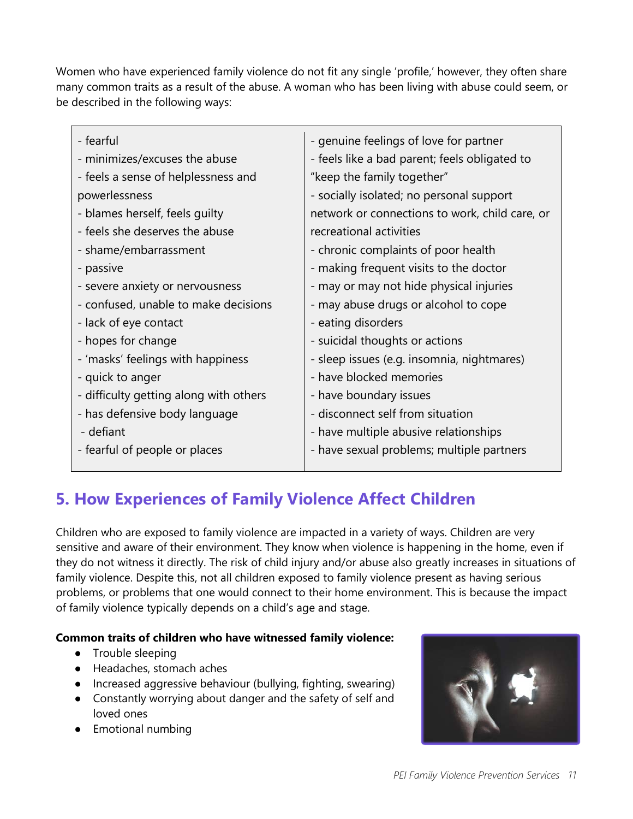Women who have experienced family violence do not fit any single 'profile,' however, they often share many common traits as a result of the abuse. A woman who has been living with abuse could seem, or be described in the following ways:

| - fearful                              | - genuine feelings of love for partner         |
|----------------------------------------|------------------------------------------------|
| - minimizes/excuses the abuse          | - feels like a bad parent; feels obligated to  |
| - feels a sense of helplessness and    | "keep the family together"                     |
| powerlessness                          | - socially isolated; no personal support       |
| - blames herself, feels guilty         | network or connections to work, child care, or |
| - feels she deserves the abuse         | recreational activities                        |
| - shame/embarrassment                  | - chronic complaints of poor health            |
| - passive                              | - making frequent visits to the doctor         |
| - severe anxiety or nervousness        | - may or may not hide physical injuries        |
| - confused, unable to make decisions   | - may abuse drugs or alcohol to cope           |
| - lack of eye contact                  | - eating disorders                             |
| - hopes for change                     | - suicidal thoughts or actions                 |
| - 'masks' feelings with happiness      | - sleep issues (e.g. insomnia, nightmares)     |
| - quick to anger                       | - have blocked memories                        |
| - difficulty getting along with others | - have boundary issues                         |
| - has defensive body language          | - disconnect self from situation               |
| - defiant                              | - have multiple abusive relationships          |
| - fearful of people or places          | - have sexual problems; multiple partners      |
|                                        |                                                |

# <span id="page-10-0"></span>**5. How Experiences of Family Violence Affect Children**

Children who are exposed to family violence are impacted in a variety of ways. Children are very sensitive and aware of their environment. They know when violence is happening in the home, even if they do not witness it directly. The risk of child injury and/or abuse also greatly increases in situations of family violence. Despite this, not all children exposed to family violence present as having serious problems, or problems that one would connect to their home environment. This is because the impact of family violence typically depends on a child's age and stage.

#### **Common traits of children who have witnessed family violence:**

- Trouble sleeping
- Headaches, stomach aches
- Increased aggressive behaviour (bullying, fighting, swearing)
- Constantly worrying about danger and the safety of self and loved ones
- Emotional numbing

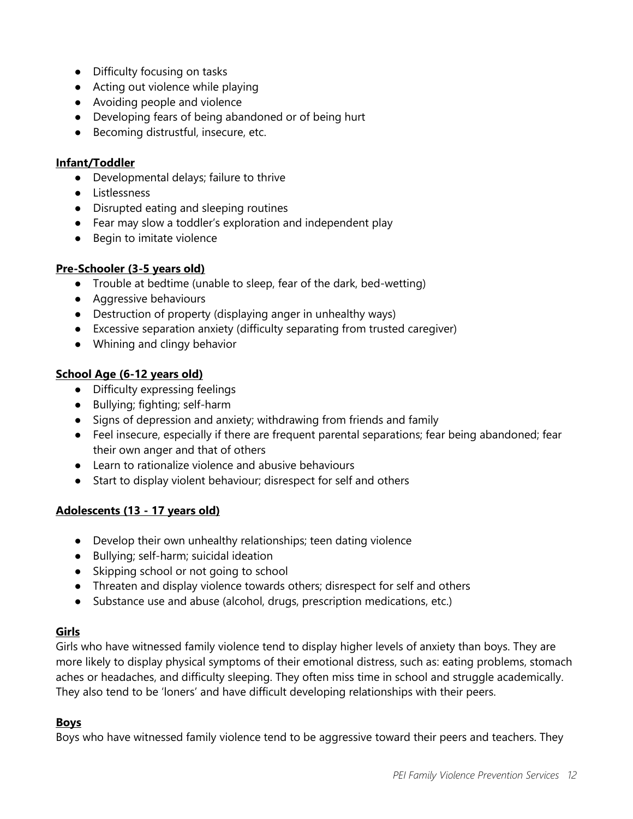- Difficulty focusing on tasks
- Acting out violence while playing
- Avoiding people and violence
- Developing fears of being abandoned or of being hurt
- Becoming distrustful, insecure, etc.

#### **Infant/Toddler**

- Developmental delays; failure to thrive
- Listlessness
- Disrupted eating and sleeping routines
- Fear may slow a toddler's exploration and independent play
- Begin to imitate violence

#### **Pre-Schooler (3-5 years old)**

- Trouble at bedtime (unable to sleep, fear of the dark, bed-wetting)
- Aggressive behaviours
- Destruction of property (displaying anger in unhealthy ways)
- Excessive separation anxiety (difficulty separating from trusted caregiver)
- Whining and clingy behavior

#### **School Age (6-12 years old)**

- Difficulty expressing feelings
- Bullying; fighting; self-harm
- Signs of depression and anxiety; withdrawing from friends and family
- Feel insecure, especially if there are frequent parental separations; fear being abandoned; fear their own anger and that of others
- Learn to rationalize violence and abusive behaviours
- Start to display violent behaviour; disrespect for self and others

#### **Adolescents (13 - 17 years old)**

- Develop their own unhealthy relationships; teen dating violence
- Bullying; self-harm; suicidal ideation
- Skipping school or not going to school
- Threaten and display violence towards others; disrespect for self and others
- Substance use and abuse (alcohol, drugs, prescription medications, etc.)

#### **Girls**

Girls who have witnessed family violence tend to display higher levels of anxiety than boys. They are more likely to display physical symptoms of their emotional distress, such as: eating problems, stomach aches or headaches, and difficulty sleeping. They often miss time in school and struggle academically. They also tend to be 'loners' and have difficult developing relationships with their peers.

#### **Boys**

Boys who have witnessed family violence tend to be aggressive toward their peers and teachers. They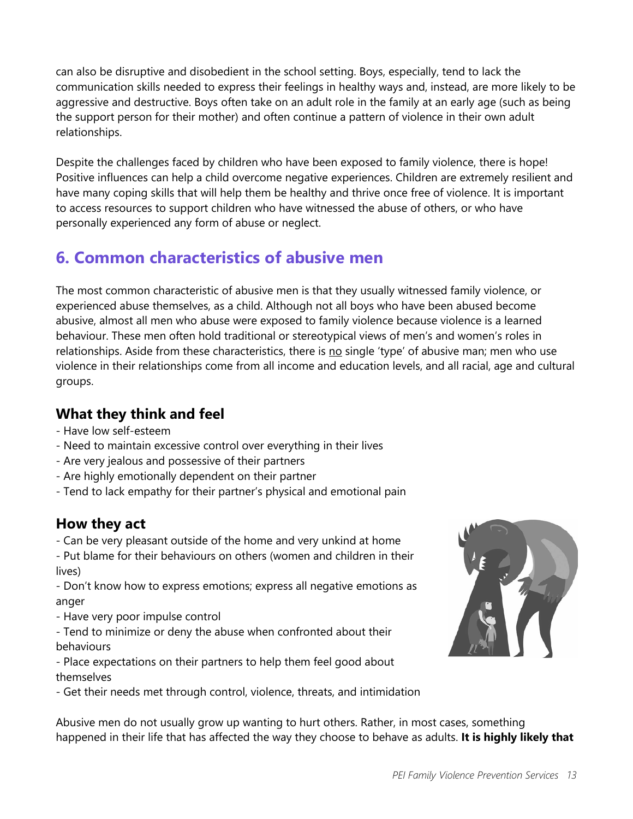can also be disruptive and disobedient in the school setting. Boys, especially, tend to lack the communication skills needed to express their feelings in healthy ways and, instead, are more likely to be aggressive and destructive. Boys often take on an adult role in the family at an early age (such as being the support person for their mother) and often continue a pattern of violence in their own adult relationships.

Despite the challenges faced by children who have been exposed to family violence, there is hope! Positive influences can help a child overcome negative experiences. Children are extremely resilient and have many coping skills that will help them be healthy and thrive once free of violence. It is important to access resources to support children who have witnessed the abuse of others, or who have personally experienced any form of abuse or neglect.

# <span id="page-12-0"></span>**6. Common characteristics of abusive men**

The most common characteristic of abusive men is that they usually witnessed family violence, or experienced abuse themselves, as a child. Although not all boys who have been abused become abusive, almost all men who abuse were exposed to family violence because violence is a learned behaviour. These men often hold traditional or stereotypical views of men's and women's roles in relationships. Aside from these characteristics, there is no single 'type' of abusive man; men who use violence in their relationships come from all income and education levels, and all racial, age and cultural groups.

## **What they think and feel**

- Have low self-esteem
- Need to maintain excessive control over everything in their lives
- Are very jealous and possessive of their partners
- Are highly emotionally dependent on their partner
- Tend to lack empathy for their partner's physical and emotional pain

### **How they act**

- Can be very pleasant outside of the home and very unkind at home

- Put blame for their behaviours on others (women and children in their lives)

- Don't know how to express emotions; express all negative emotions as anger

- Have very poor impulse control
- Tend to minimize or deny the abuse when confronted about their behaviours

- Place expectations on their partners to help them feel good about themselves

- Get their needs met through control, violence, threats, and intimidation

Abusive men do not usually grow up wanting to hurt others. Rather, in most cases, something happened in their life that has affected the way they choose to behave as adults. **It is highly likely that**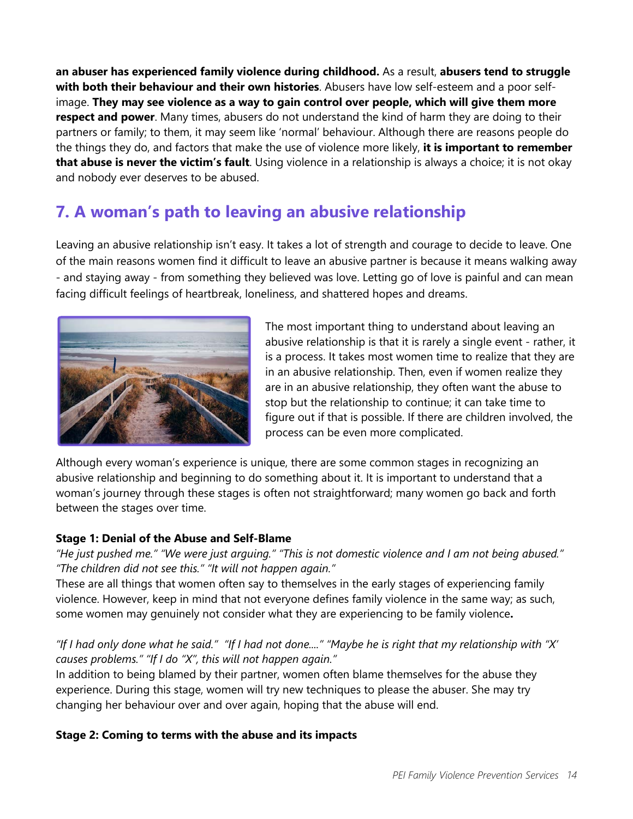**an abuser has experienced family violence during childhood.** As a result, **abusers tend to struggle with both their behaviour and their own histories**. Abusers have low self-esteem and a poor selfimage. **They may see violence as a way to gain control over people, which will give them more respect and power**. Many times, abusers do not understand the kind of harm they are doing to their partners or family; to them, it may seem like 'normal' behaviour. Although there are reasons people do the things they do, and factors that make the use of violence more likely, **it is important to remember that abuse is never the victim's fault**. Using violence in a relationship is always a choice; it is not okay and nobody ever deserves to be abused.

# <span id="page-13-0"></span>**7. A woman's path to leaving an abusive relationship**

Leaving an abusive relationship isn't easy. It takes a lot of strength and courage to decide to leave. One of the main reasons women find it difficult to leave an abusive partner is because it means walking away - and staying away - from something they believed was love. Letting go of love is painful and can mean facing difficult feelings of heartbreak, loneliness, and shattered hopes and dreams.



The most important thing to understand about leaving an abusive relationship is that it is rarely a single event - rather, it is a process. It takes most women time to realize that they are in an abusive relationship. Then, even if women realize they are in an abusive relationship, they often want the abuse to stop but the relationship to continue; it can take time to figure out if that is possible. If there are children involved, the process can be even more complicated.

Although every woman's experience is unique, there are some common stages in recognizing an abusive relationship and beginning to do something about it. It is important to understand that a woman's journey through these stages is often not straightforward; many women go back and forth between the stages over time.

#### **Stage 1: Denial of the Abuse and Self-Blame**

*"He just pushed me." "We were just arguing." "This is not domestic violence and I am not being abused." "The children did not see this." "It will not happen again."* 

These are all things that women often say to themselves in the early stages of experiencing family violence. However, keep in mind that not everyone defines family violence in the same way; as such, some women may genuinely not consider what they are experiencing to be family violence**.**

#### *"If I had only done what he said." "If I had not done...." "Maybe he is right that my relationship with "X' causes problems." "If I do "X", this will not happen again."*

In addition to being blamed by their partner, women often blame themselves for the abuse they experience. During this stage, women will try new techniques to please the abuser. She may try changing her behaviour over and over again, hoping that the abuse will end.

#### **Stage 2: Coming to terms with the abuse and its impacts**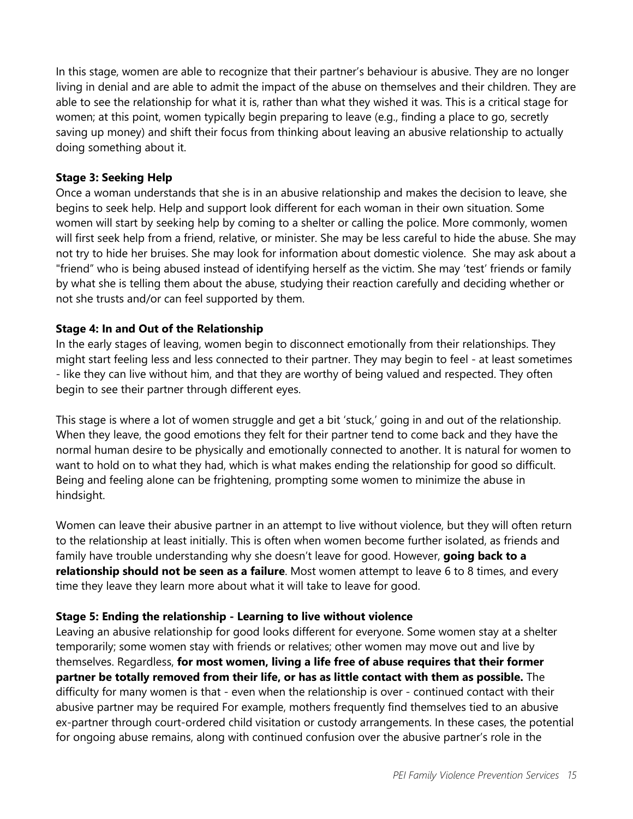In this stage, women are able to recognize that their partner's behaviour is abusive. They are no longer living in denial and are able to admit the impact of the abuse on themselves and their children. They are able to see the relationship for what it is, rather than what they wished it was. This is a critical stage for women; at this point, women typically begin preparing to leave (e.g., finding a place to go, secretly saving up money) and shift their focus from thinking about leaving an abusive relationship to actually doing something about it.

#### **Stage 3: Seeking Help**

Once a woman understands that she is in an abusive relationship and makes the decision to leave, she begins to seek help. Help and support look different for each woman in their own situation. Some women will start by seeking help by coming to a shelter or calling the police. More commonly, women will first seek help from a friend, relative, or minister. She may be less careful to hide the abuse. She may not try to hide her bruises. She may look for information about domestic violence. She may ask about a "friend" who is being abused instead of identifying herself as the victim. She may 'test' friends or family by what she is telling them about the abuse, studying their reaction carefully and deciding whether or not she trusts and/or can feel supported by them.

#### **Stage 4: In and Out of the Relationship**

In the early stages of leaving, women begin to disconnect emotionally from their relationships. They might start feeling less and less connected to their partner. They may begin to feel - at least sometimes - like they can live without him, and that they are worthy of being valued and respected. They often begin to see their partner through different eyes.

This stage is where a lot of women struggle and get a bit 'stuck,' going in and out of the relationship. When they leave, the good emotions they felt for their partner tend to come back and they have the normal human desire to be physically and emotionally connected to another. It is natural for women to want to hold on to what they had, which is what makes ending the relationship for good so difficult. Being and feeling alone can be frightening, prompting some women to minimize the abuse in hindsight.

Women can leave their abusive partner in an attempt to live without violence, but they will often return to the relationship at least initially. This is often when women become further isolated, as friends and family have trouble understanding why she doesn't leave for good. However, **going back to a relationship should not be seen as a failure**. Most women attempt to leave 6 to 8 times, and every time they leave they learn more about what it will take to leave for good.

#### **Stage 5: Ending the relationship - Learning to live without violence**

Leaving an abusive relationship for good looks different for everyone. Some women stay at a shelter temporarily; some women stay with friends or relatives; other women may move out and live by themselves. Regardless, **for most women, living a life free of abuse requires that their former partner be totally removed from their life, or has as little contact with them as possible.** The difficulty for many women is that - even when the relationship is over - continued contact with their abusive partner may be required For example, mothers frequently find themselves tied to an abusive ex-partner through court-ordered child visitation or custody arrangements. In these cases, the potential for ongoing abuse remains, along with continued confusion over the abusive partner's role in the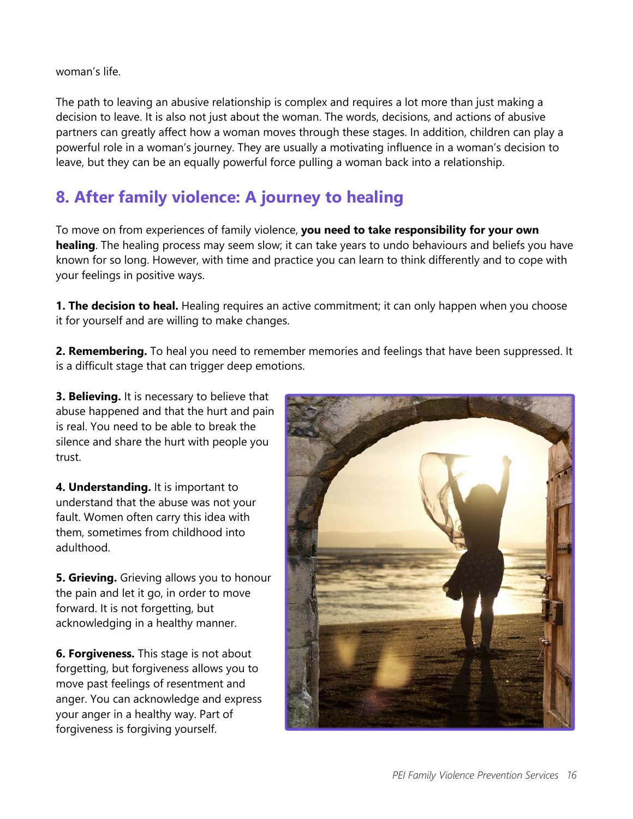woman's life.

The path to leaving an abusive relationship is complex and requires a lot more than just making a decision to leave. It is also not just about the woman. The words, decisions, and actions of abusive partners can greatly affect how a woman moves through these stages. In addition, children can play a powerful role in a woman's journey. They are usually a motivating influence in a woman's decision to leave, but they can be an equally powerful force pulling a woman back into a relationship.

# **8. After family violence: A journey to healing**

To move on from experiences of family violence, **you need to take responsibility for your own healing**. The healing process may seem slow; it can take years to undo behaviours and beliefs you have known for so long. However, with time and practice you can learn to think differently and to cope with your feelings in positive ways.

**1. The decision to heal.** Healing requires an active commitment; it can only happen when you choose it for yourself and are willing to make changes.

**2. Remembering.** To heal you need to remember memories and feelings that have been suppressed. It is a difficult stage that can trigger deep emotions.

**3. Believing.** It is necessary to believe that abuse happened and that the hurt and pain is real. You need to be able to break the silence and share the hurt with people you trust.

**4. Understanding.** It is important to understand that the abuse was not your fault. Women often carry this idea with them, sometimes from childhood into adulthood.

**5. Grieving.** Grieving allows you to honour the pain and let it go, in order to move forward. It is not forgetting, but acknowledging in a healthy manner.

**6. Forgiveness.** This stage is not about forgetting, but forgiveness allows you to move past feelings of resentment and anger. You can acknowledge and express your anger in a healthy way. Part of forgiveness is forgiving yourself.